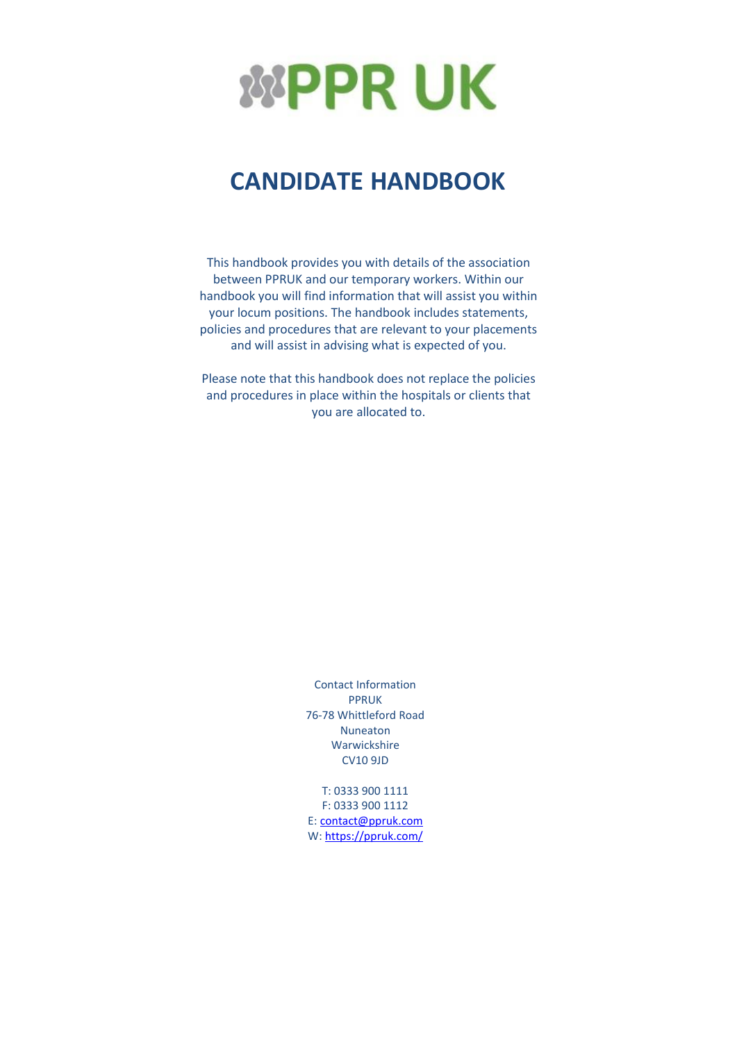

# **CANDIDATE HANDBOOK**

This handbook provides you with details of the association between PPRUK and our temporary workers. Within our handbook you will find information that will assist you within your locum positions. The handbook includes statements, policies and procedures that are relevant to your placements and will assist in advising what is expected of you.

Please note that this handbook does not replace the policies and procedures in place within the hospitals or clients that you are allocated to.

> Contact Information PPRUK 76-78 Whittleford Road Nuneaton Warwickshire CV10 9JD

> T: 0333 900 1111 F: 0333 900 1112 E[: contact@ppruk.com](mailto:contact@ppruk.com) W: <https://ppruk.com/>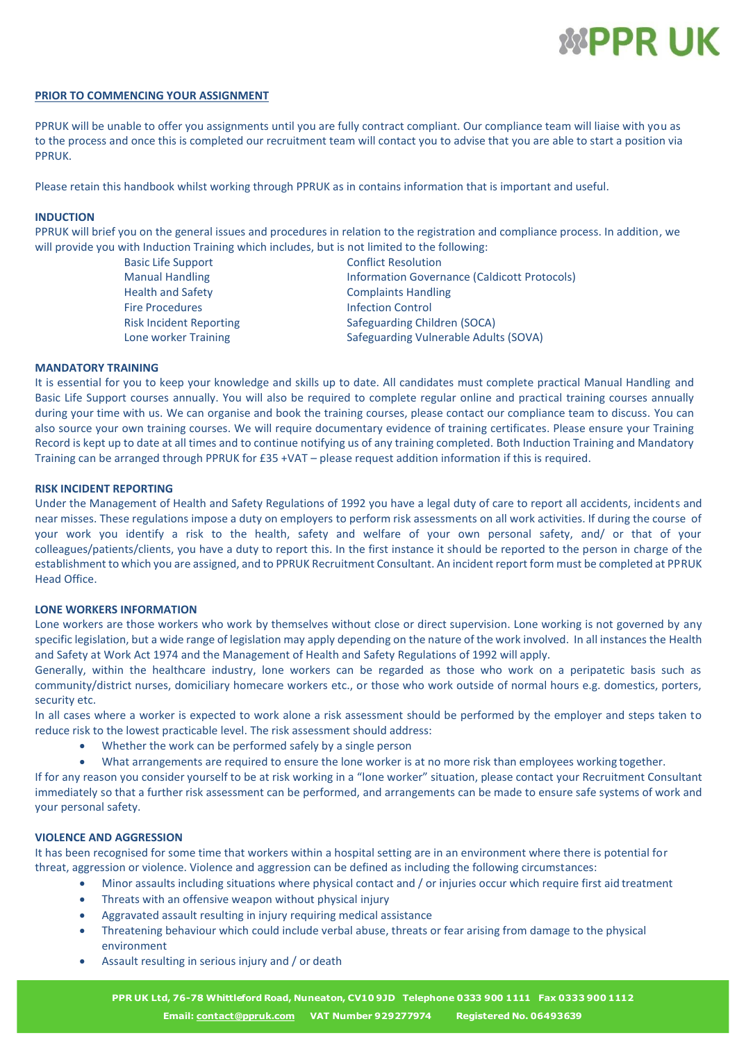

#### **PRIOR TO COMMENCING YOUR ASSIGNMENT**

PPRUK will be unable to offer you assignments until you are fully contract compliant. Our compliance team will liaise with you as to the process and once this is completed our recruitment team will contact you to advise that you are able to start a position via PPRUK.

Please retain this handbook whilst working through PPRUK as in contains information that is important and useful.

#### **INDUCTION**

PPRUK will brief you on the general issues and procedures in relation to the registration and compliance process. In addition, we will provide you with Induction Training which includes, but is not limited to the following:

> Basic Life Support Conflict Resolution Fire Procedures **Infection Control** Risk Incident Reporting Safeguarding Children (SOCA)

Manual Handling The Information Governance (Caldicott Protocols)<br>Information Governance (Caldicott Protocols)<br>Complaints Handling Complaints Handling Lone worker Training Training Safeguarding Vulnerable Adults (SOVA)

#### **MANDATORY TRAINING**

It is essential for you to keep your knowledge and skills up to date. All candidates must complete practical Manual Handling and Basic Life Support courses annually. You will also be required to complete regular online and practical training courses annually during your time with us. We can organise and book the training courses, please contact our compliance team to discuss. You can also source your own training courses. We will require documentary evidence of training certificates. Please ensure your Training Record is kept up to date at all times and to continue notifying us of any training completed. Both Induction Training and Mandatory Training can be arranged through PPRUK for £35 +VAT – please request addition information if this is required.

#### **RISK INCIDENT REPORTING**

Under the Management of Health and Safety Regulations of 1992 you have a legal duty of care to report all accidents, incidents and near misses. These regulations impose a duty on employers to perform risk assessments on all work activities. If during the course of your work you identify a risk to the health, safety and welfare of your own personal safety, and/ or that of your colleagues/patients/clients, you have a duty to report this. In the first instance it should be reported to the person in charge of the establishment to which you are assigned, and to PPRUK Recruitment Consultant. An incident report form must be completed at PPRUK Head Office.

#### **LONE WORKERS INFORMATION**

Lone workers are those workers who work by themselves without close or direct supervision. Lone working is not governed by any specific legislation, but a wide range of legislation may apply depending on the nature of the work involved. In all instances the Health and Safety at Work Act 1974 and the Management of Health and Safety Regulations of 1992 will apply.

Generally, within the healthcare industry, lone workers can be regarded as those who work on a peripatetic basis such as community/district nurses, domiciliary homecare workers etc., or those who work outside of normal hours e.g. domestics, porters, security etc.

In all cases where a worker is expected to work alone a risk assessment should be performed by the employer and steps taken to reduce risk to the lowest practicable level. The risk assessment should address:

- Whether the work can be performed safely by a single person
- What arrangements are required to ensure the lone worker is at no more risk than employees working together.

If for any reason you consider yourself to be at risk working in a "lone worker" situation, please contact your Recruitment Consultant immediately so that a further risk assessment can be performed, and arrangements can be made to ensure safe systems of work and your personal safety.

#### **VIOLENCE AND AGGRESSION**

It has been recognised for some time that workers within a hospital setting are in an environment where there is potential for threat, aggression or violence. Violence and aggression can be defined as including the following circumstances:

- Minor assaults including situations where physical contact and / or injuries occur which require first aid treatment
- Threats with an offensive weapon without physical injury
- Aggravated assault resulting in injury requiring medical assistance
- Threatening behaviour which could include verbal abuse, threats or fear arising from damage to the physical environment
- Assault resulting in serious injury and / or death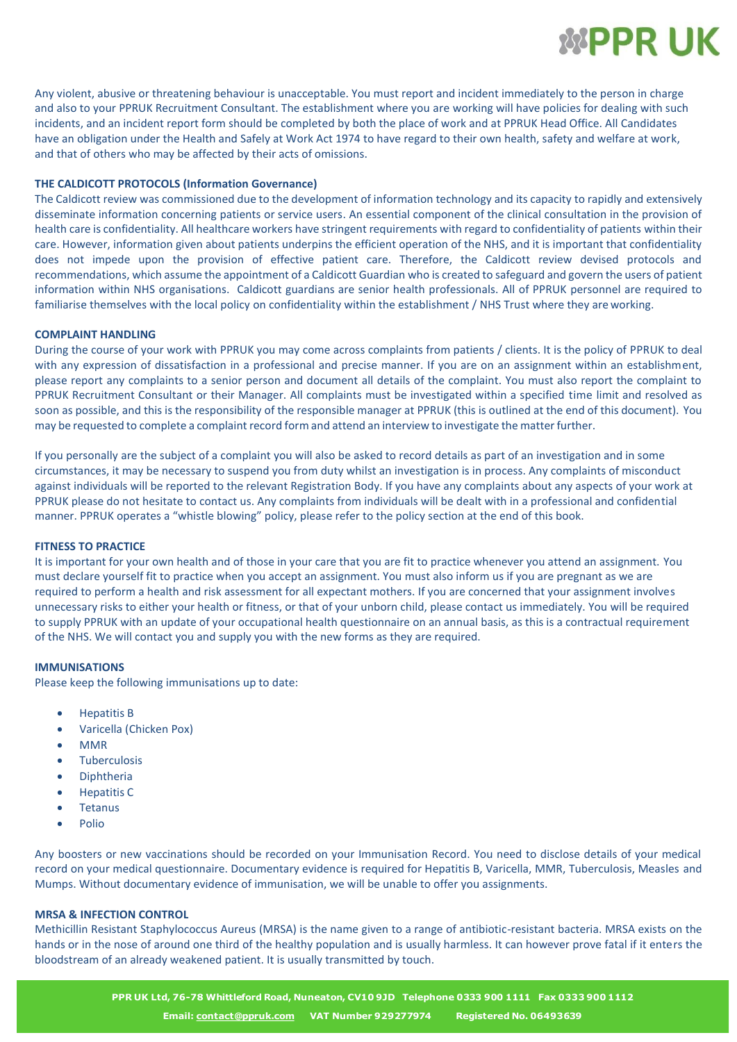

Any violent, abusive or threatening behaviour is unacceptable. You must report and incident immediately to the person in charge and also to your PPRUK Recruitment Consultant. The establishment where you are working will have policies for dealing with such incidents, and an incident report form should be completed by both the place of work and at PPRUK Head Office. All Candidates have an obligation under the Health and Safely at Work Act 1974 to have regard to their own health, safety and welfare at work, and that of others who may be affected by their acts of omissions.

# **THE CALDICOTT PROTOCOLS (Information Governance)**

The Caldicott review was commissioned due to the development of information technology and its capacity to rapidly and extensively disseminate information concerning patients or service users. An essential component of the clinical consultation in the provision of health care is confidentiality. All healthcare workers have stringent requirements with regard to confidentiality of patients within their care. However, information given about patients underpins the efficient operation of the NHS, and it is important that confidentiality does not impede upon the provision of effective patient care. Therefore, the Caldicott review devised protocols and recommendations, which assume the appointment of a Caldicott Guardian who is created to safeguard and govern the users of patient information within NHS organisations. Caldicott guardians are senior health professionals. All of PPRUK personnel are required to familiarise themselves with the local policy on confidentiality within the establishment / NHS Trust where they areworking.

#### **COMPLAINT HANDLING**

During the course of your work with PPRUK you may come across complaints from patients / clients. It is the policy of PPRUK to deal with any expression of dissatisfaction in a professional and precise manner. If you are on an assignment within an establishment, please report any complaints to a senior person and document all details of the complaint. You must also report the complaint to PPRUK Recruitment Consultant or their Manager. All complaints must be investigated within a specified time limit and resolved as soon as possible, and this is the responsibility of the responsible manager at PPRUK (this is outlined at the end of this document). You may be requested to complete a complaint record form and attend an interview to investigate the matterfurther.

If you personally are the subject of a complaint you will also be asked to record details as part of an investigation and in some circumstances, it may be necessary to suspend you from duty whilst an investigation is in process. Any complaints of misconduct against individuals will be reported to the relevant Registration Body. If you have any complaints about any aspects of your work at PPRUK please do not hesitate to contact us. Any complaints from individuals will be dealt with in a professional and confidential manner. PPRUK operates a "whistle blowing" policy, please refer to the policy section at the end of this book.

#### **FITNESS TO PRACTICE**

It is important for your own health and of those in your care that you are fit to practice whenever you attend an assignment. You must declare yourself fit to practice when you accept an assignment. You must also inform us if you are pregnant as we are required to perform a health and risk assessment for all expectant mothers. If you are concerned that your assignment involves unnecessary risks to either your health or fitness, or that of your unborn child, please contact us immediately. You will be required to supply PPRUK with an update of your occupational health questionnaire on an annual basis, as this is a contractual requirement of the NHS. We will contact you and supply you with the new forms as they are required.

#### **IMMUNISATIONS**

Please keep the following immunisations up to date:

- Hepatitis B
- Varicella (Chicken Pox)
- MMR
- **Tuberculosis**
- Diphtheria
- Hepatitis C
- Tetanus
- Polio

Any boosters or new vaccinations should be recorded on your Immunisation Record. You need to disclose details of your medical record on your medical questionnaire. Documentary evidence is required for Hepatitis B, Varicella, MMR, Tuberculosis, Measles and Mumps. Without documentary evidence of immunisation, we will be unable to offer you assignments.

# **MRSA & INFECTION CONTROL**

Methicillin Resistant Staphylococcus Aureus (MRSA) is the name given to a range of antibiotic-resistant bacteria. MRSA exists on the hands or in the nose of around one third of the healthy population and is usually harmless. It can however prove fatal if it enters the bloodstream of an already weakened patient. It is usually transmitted by touch.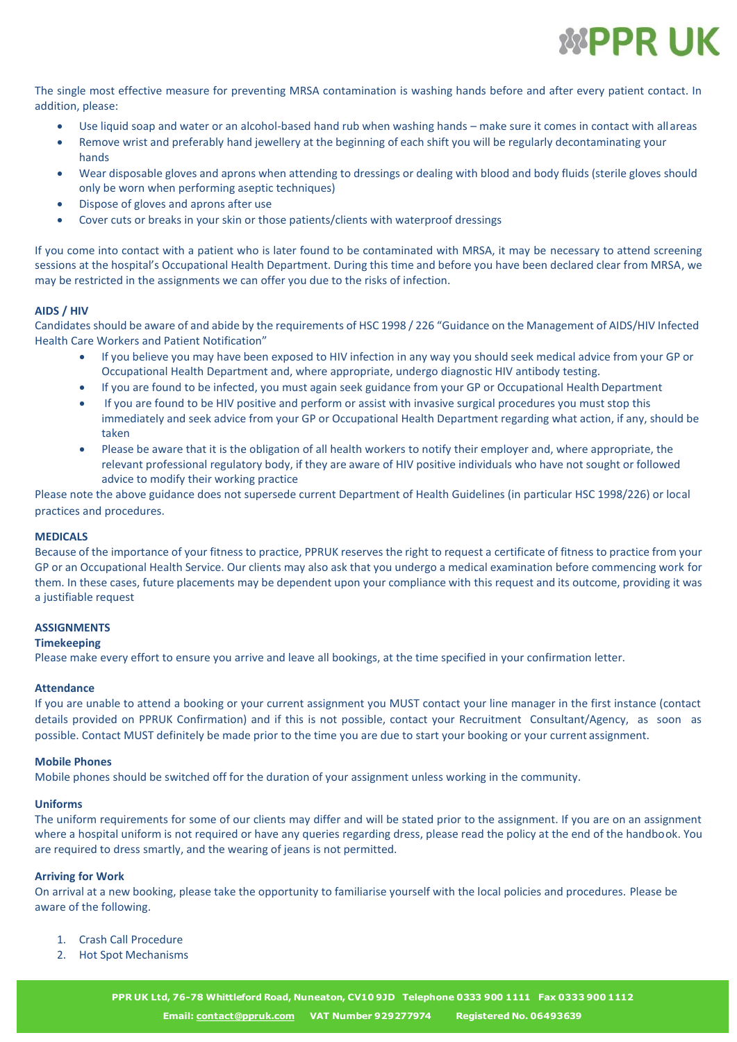

The single most effective measure for preventing MRSA contamination is washing hands before and after every patient contact. In addition, please:

- Use liquid soap and water or an alcohol-based hand rub when washing hands make sure it comes in contact with allareas
- Remove wrist and preferably hand jewellery at the beginning of each shift you will be regularly decontaminating your hands
- Wear disposable gloves and aprons when attending to dressings or dealing with blood and body fluids (sterile gloves should only be worn when performing aseptic techniques)
- Dispose of gloves and aprons after use
- Cover cuts or breaks in your skin or those patients/clients with waterproof dressings

If you come into contact with a patient who is later found to be contaminated with MRSA, it may be necessary to attend screening sessions at the hospital's Occupational Health Department. During this time and before you have been declared clear from MRSA, we may be restricted in the assignments we can offer you due to the risks of infection.

# **AIDS / HIV**

Candidates should be aware of and abide by the requirements of HSC 1998 / 226 "Guidance on the Management of AIDS/HIV Infected Health Care Workers and Patient Notification"

- If you believe you may have been exposed to HIV infection in any way you should seek medical advice from your GP or Occupational Health Department and, where appropriate, undergo diagnostic HIV antibody testing.
- If you are found to be infected, you must again seek guidance from your GP or Occupational Health Department
- If you are found to be HIV positive and perform or assist with invasive surgical procedures you must stop this immediately and seek advice from your GP or Occupational Health Department regarding what action, if any, should be taken
- Please be aware that it is the obligation of all health workers to notify their employer and, where appropriate, the relevant professional regulatory body, if they are aware of HIV positive individuals who have not sought or followed advice to modify their working practice

Please note the above guidance does not supersede current Department of Health Guidelines (in particular HSC 1998/226) or local practices and procedures.

#### **MEDICALS**

Because of the importance of your fitness to practice, PPRUK reserves the right to request a certificate of fitness to practice from your GP or an Occupational Health Service. Our clients may also ask that you undergo a medical examination before commencing work for them. In these cases, future placements may be dependent upon your compliance with this request and its outcome, providing it was a justifiable request

#### **ASSIGNMENTS**

#### **Timekeeping**

Please make every effort to ensure you arrive and leave all bookings, at the time specified in your confirmation letter.

#### **Attendance**

If you are unable to attend a booking or your current assignment you MUST contact your line manager in the first instance (contact details provided on PPRUK Confirmation) and if this is not possible, contact your Recruitment Consultant/Agency, as soon as possible. Contact MUST definitely be made prior to the time you are due to start your booking or your current assignment.

#### **Mobile Phones**

Mobile phones should be switched off for the duration of your assignment unless working in the community.

#### **Uniforms**

The uniform requirements for some of our clients may differ and will be stated prior to the assignment. If you are on an assignment where a hospital uniform is not required or have any queries regarding dress, please read the policy at the end of the handbook. You are required to dress smartly, and the wearing of jeans is not permitted.

# **Arriving for Work**

On arrival at a new booking, please take the opportunity to familiarise yourself with the local policies and procedures. Please be aware of the following.

- 1. Crash Call Procedure
- 2. Hot Spot Mechanisms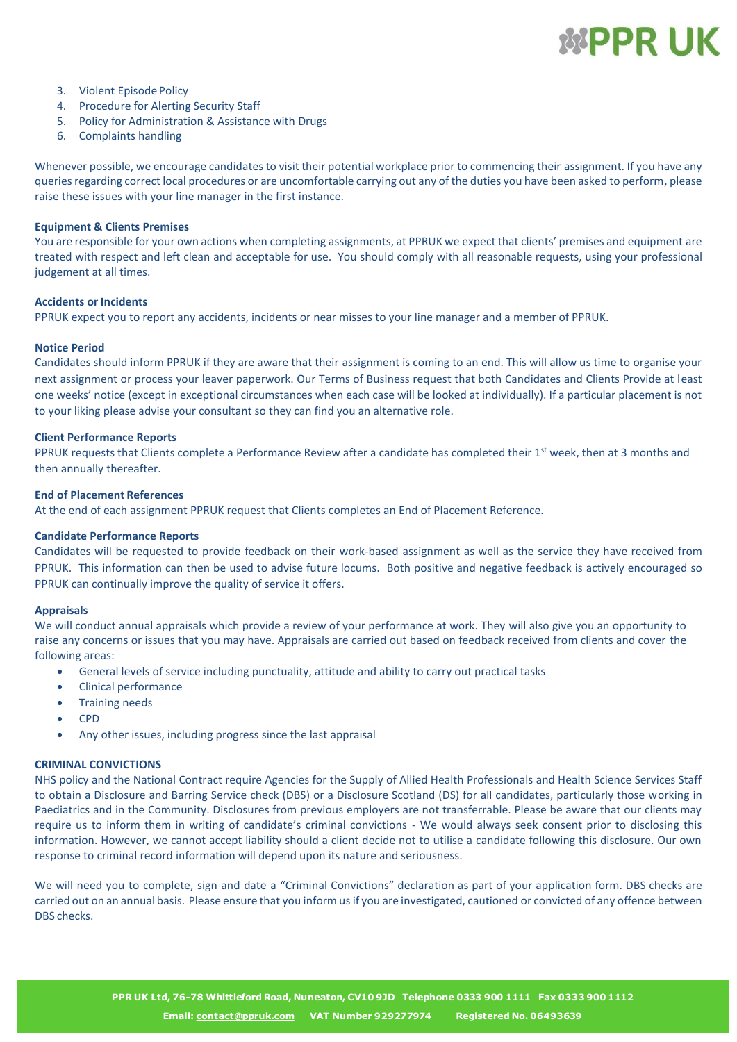# *MPPR UK*

- 3. Violent Episode Policy
- 4. Procedure for Alerting Security Staff
- 5. Policy for Administration & Assistance with Drugs
- 6. Complaints handling

Whenever possible, we encourage candidates to visit their potential workplace prior to commencing their assignment. If you have any queries regarding correct local procedures or are uncomfortable carrying out any of the duties you have been asked to perform, please raise these issues with your line manager in the first instance.

# **Equipment & Clients Premises**

You are responsible for your own actions when completing assignments, at PPRUK we expect that clients' premises and equipment are treated with respect and left clean and acceptable for use. You should comply with all reasonable requests, using your professional judgement at all times.

# **Accidents or Incidents**

PPRUK expect you to report any accidents, incidents or near misses to your line manager and a member of PPRUK.

# **Notice Period**

Candidates should inform PPRUK if they are aware that their assignment is coming to an end. This will allow us time to organise your next assignment or process your leaver paperwork. Our Terms of Business request that both Candidates and Clients Provide at least one weeks' notice (except in exceptional circumstances when each case will be looked at individually). If a particular placement is not to your liking please advise your consultant so they can find you an alternative role.

# **Client Performance Reports**

PPRUK requests that Clients complete a Performance Review after a candidate has completed their 1<sup>st</sup> week, then at 3 months and then annually thereafter.

# **End of Placement References**

At the end of each assignment PPRUK request that Clients completes an End of Placement Reference.

# **Candidate Performance Reports**

Candidates will be requested to provide feedback on their work-based assignment as well as the service they have received from PPRUK. This information can then be used to advise future locums. Both positive and negative feedback is actively encouraged so PPRUK can continually improve the quality of service it offers.

#### **Appraisals**

We will conduct annual appraisals which provide a review of your performance at work. They will also give you an opportunity to raise any concerns or issues that you may have. Appraisals are carried out based on feedback received from clients and cover the following areas:

- General levels of service including punctuality, attitude and ability to carry out practical tasks
- Clinical performance
- Training needs
- CPD
- Any other issues, including progress since the last appraisal

# **CRIMINAL CONVICTIONS**

NHS policy and the National Contract require Agencies for the Supply of Allied Health Professionals and Health Science Services Staff to obtain a Disclosure and Barring Service check (DBS) or a Disclosure Scotland (DS) for all candidates, particularly those working in Paediatrics and in the Community. Disclosures from previous employers are not transferrable. Please be aware that our clients may require us to inform them in writing of candidate's criminal convictions - We would always seek consent prior to disclosing this information. However, we cannot accept liability should a client decide not to utilise a candidate following this disclosure. Our own response to criminal record information will depend upon its nature and seriousness.

We will need you to complete, sign and date a "Criminal Convictions" declaration as part of your application form. DBS checks are carried out on an annual basis. Please ensure that you inform us if you are investigated, cautioned or convicted of any offence between DBS checks.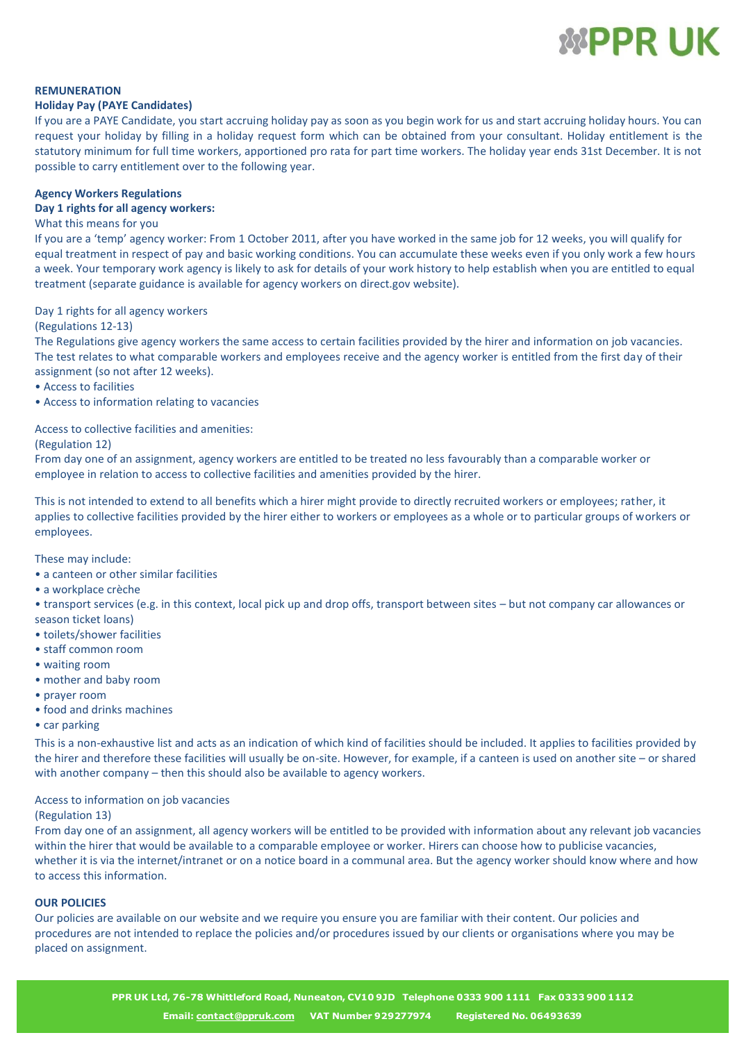

# **REMUNERATION**

# **Holiday Pay (PAYE Candidates)**

If you are a PAYE Candidate, you start accruing holiday pay as soon as you begin work for us and start accruing holiday hours. You can request your holiday by filling in a holiday request form which can be obtained from your consultant. Holiday entitlement is the statutory minimum for full time workers, apportioned pro rata for part time workers. The holiday year ends 31st December. It is not possible to carry entitlement over to the following year.

# **Agency Workers Regulations**

# **Day 1 rights for all agency workers:**

# What this means for you

If you are a 'temp' agency worker: From 1 October 2011, after you have worked in the same job for 12 weeks, you will qualify for equal treatment in respect of pay and basic working conditions. You can accumulate these weeks even if you only work a few hours a week. Your temporary work agency is likely to ask for details of your work history to help establish when you are entitled to equal treatment (separate guidance is available for agency workers on direct.gov website).

# Day 1 rights for all agency workers

# (Regulations 12-13)

The Regulations give agency workers the same access to certain facilities provided by the hirer and information on job vacancies. The test relates to what comparable workers and employees receive and the agency worker is entitled from the first day of their assignment (so not after 12 weeks).

- Access to facilities
- Access to information relating to vacancies

# Access to collective facilities and amenities:

(Regulation 12)

From day one of an assignment, agency workers are entitled to be treated no less favourably than a comparable worker or employee in relation to access to collective facilities and amenities provided by the hirer.

This is not intended to extend to all benefits which a hirer might provide to directly recruited workers or employees; rather, it applies to collective facilities provided by the hirer either to workers or employees as a whole or to particular groups of workers or employees.

These may include:

- a canteen or other similar facilities
- a workplace crèche

• transport services (e.g. in this context, local pick up and drop offs, transport between sites – but not company car allowances or season ticket loans)

- toilets/shower facilities
- staff common room
- waiting room
- mother and baby room
- prayer room
- food and drinks machines
- car parking

This is a non-exhaustive list and acts as an indication of which kind of facilities should be included. It applies to facilities provided by the hirer and therefore these facilities will usually be on-site. However, for example, if a canteen is used on another site – or shared with another company – then this should also be available to agency workers.

# Access to information on job vacancies

#### (Regulation 13)

From day one of an assignment, all agency workers will be entitled to be provided with information about any relevant job vacancies within the hirer that would be available to a comparable employee or worker. Hirers can choose how to publicise vacancies, whether it is via the internet/intranet or on a notice board in a communal area. But the agency worker should know where and how to access this information.

# **OUR POLICIES**

Our policies are available on our website and we require you ensure you are familiar with their content. Our policies and procedures are not intended to replace the policies and/or procedures issued by our clients or organisations where you may be placed on assignment.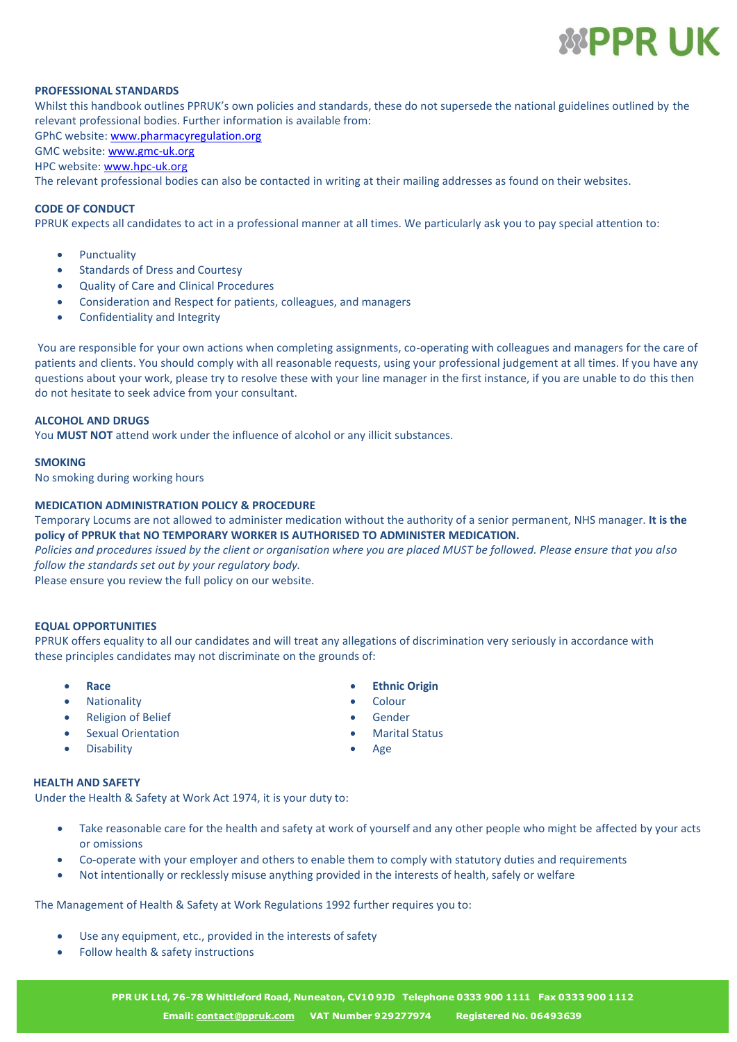

# **PROFESSIONAL STANDARDS**

Whilst this handbook outlines PPRUK's own policies and standards, these do not supersede the national guidelines outlined by the relevant professional bodies. Further information is available from:

GPhC website[: www.pharmacyregulation.org](http://www.pharmacyregulation.org/)

# GMC website[: www.gmc-uk.org](http://www.gmc-uk.org/)

HPC website: [www.hpc-uk.org](http://www.hpc-uk.org/)

The relevant professional bodies can also be contacted in writing at their mailing addresses as found on their websites.

# **CODE OF CONDUCT**

PPRUK expects all candidates to act in a professional manner at all times. We particularly ask you to pay special attention to:

- **Punctuality**
- Standards of Dress and Courtesy
- Quality of Care and Clinical Procedures
- Consideration and Respect for patients, colleagues, and managers
- Confidentiality and Integrity

You are responsible for your own actions when completing assignments, co-operating with colleagues and managers for the care of patients and clients. You should comply with all reasonable requests, using your professional judgement at all times. If you have any questions about your work, please try to resolve these with your line manager in the first instance, if you are unable to do this then do not hesitate to seek advice from your consultant.

# **ALCOHOL AND DRUGS**

You **MUST NOT** attend work under the influence of alcohol or any illicit substances.

#### **SMOKING**

No smoking during working hours

#### **MEDICATION ADMINISTRATION POLICY & PROCEDURE**

Temporary Locums are not allowed to administer medication without the authority of a senior permanent, NHS manager. **It is the policy of PPRUK that NO TEMPORARY WORKER IS AUTHORISED TO ADMINISTER MEDICATION.**

*Policies and procedures issued by the client or organisation where you are placed MUST be followed. Please ensure that you also follow the standards set out by your regulatory body.*

Please ensure you review the full policy on our website.

#### **EQUAL OPPORTUNITIES**

PPRUK offers equality to all our candidates and will treat any allegations of discrimination very seriously in accordance with these principles candidates may not discriminate on the grounds of:

- 
- Nationality  **Colour**
- Religion of Belief **•** Gender
- Sexual Orientation Marital Status
- **Disability •** Age

# **HEALTH AND SAFETY**

Under the Health & Safety at Work Act 1974, it is your duty to:

- Take reasonable care for the health and safety at work of yourself and any other people who might be affected by your acts or omissions
- Co-operate with your employer and others to enable them to comply with statutory duties and requirements
- Not intentionally or recklessly misuse anything provided in the interests of health, safely or welfare

The Management of Health & Safety at Work Regulations 1992 further requires you to:

- Use any equipment, etc., provided in the interests of safety
- Follow health & safety instructions
	- **[PPR UK Ltd, 76-78 Whittleford Road, Nuneaton, CV10 9JD Telephone 0333 900 1111 Fax 0333 900 1112](mailto:contact@ppruk.com) Email: contact@ppruk.com VAT Number 929277974 Registered No. 06493639**

• **Race** • **Ethnic Origin**

- 
- 
- 
-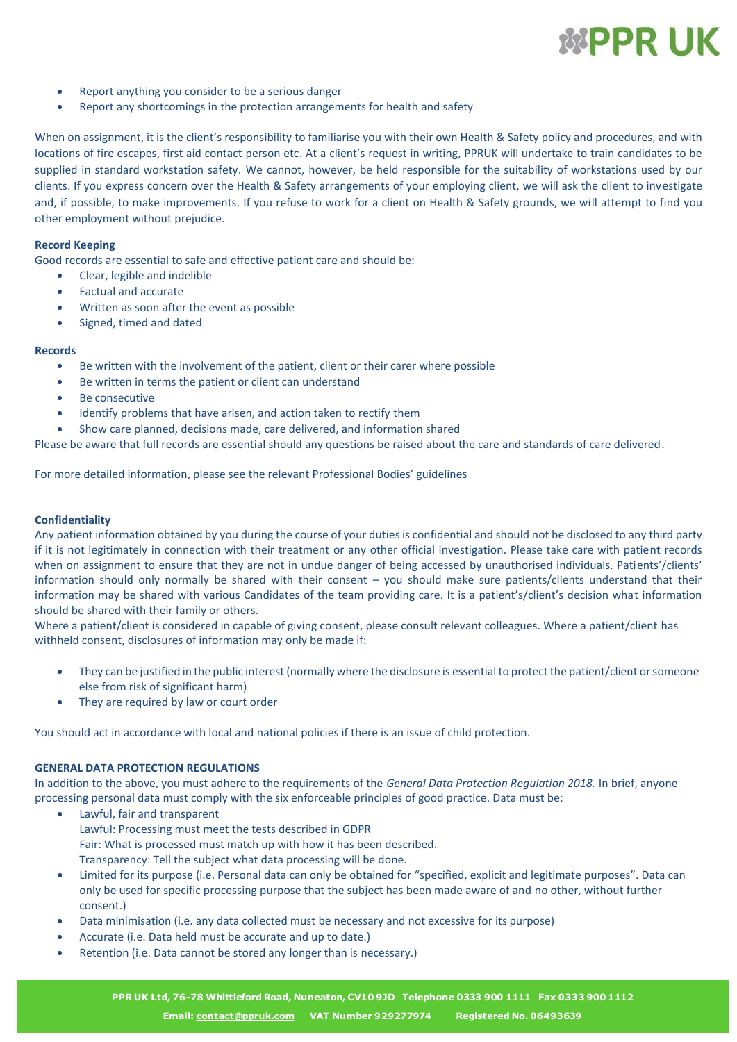

- Report anything you consider to be a serious danger
- Report any shortcomings in the protection arrangements for health and safety

When on assignment, it is the client's responsibility to familiarise you with their own Health & Safety policy and procedures, and with locations of fire escapes, first aid contact person etc. At a client's request in writing, PPRUK will undertake to train candidates to be supplied in standard workstation safety. We cannot, however, be held responsible for the suitability of workstations used by our clients. If you express concern over the Health & Safety arrangements of your employing client, we will ask the client to investigate and, if possible, to make improvements. If you refuse to work for a client on Health & Safety grounds, we will attempt to find you other employment without prejudice.

#### **Record Keeping**

Good records are essential to safe and effective patient care and should be:

- Clear, legible and indelible
- Factual and accurate
- Written as soon after the event as possible
- Signed, timed and dated

#### **Records**

- Be written with the involvement of the patient, client or their carer where possible
- Be written in terms the patient or client can understand
- Be consecutive
- Identify problems that have arisen, and action taken to rectify them
- Show care planned, decisions made, care delivered, and information shared

Please be aware that full records are essential should any questions be raised about the care and standards of care delivered.

For more detailed information, please see the relevant Professional Bodies' guidelines

# **Confidentiality**

Any patient information obtained by you during the course of your duties is confidential and should not be disclosed to any third party if it is not legitimately in connection with their treatment or any other official investigation. Please take care with patient records when on assignment to ensure that they are not in undue danger of being accessed by unauthorised individuals. Patients'/clients' information should only normally be shared with their consent – you should make sure patients/clients understand that their information may be shared with various Candidates of the team providing care. It is a patient's/client's decision what information should be shared with their family or others.

Where a patient/client is considered in capable of giving consent, please consult relevant colleagues. Where a patient/client has withheld consent, disclosures of information may only be made if:

- They can be justified in the public interest (normally where the disclosure is essential to protect the patient/client or someone else from risk of significant harm)
- They are required by law or court order

You should act in accordance with local and national policies if there is an issue of child protection.

# **GENERAL DATA PROTECTION REGULATIONS**

In addition to the above, you must adhere to the requirements of the *General Data Protection Regulation 2018.* In brief, anyone processing personal data must comply with the six enforceable principles of good practice. Data must be:

- Lawful, fair and transparent Lawful: Processing must meet the tests described in GDPR Fair: What is processed must match up with how it has been described. Transparency: Tell the subject what data processing will be done.
- Limited for its purpose (i.e. Personal data can only be obtained for "specified, explicit and legitimate purposes". Data can only be used for specific processing purpose that the subject has been made aware of and no other, without further consent.)
- Data minimisation (i.e. any data collected must be necessary and not excessive for its purpose)
- Accurate (i.e. Data held must be accurate and up to date.)
- Retention (i.e. Data cannot be stored any longer than is necessary.)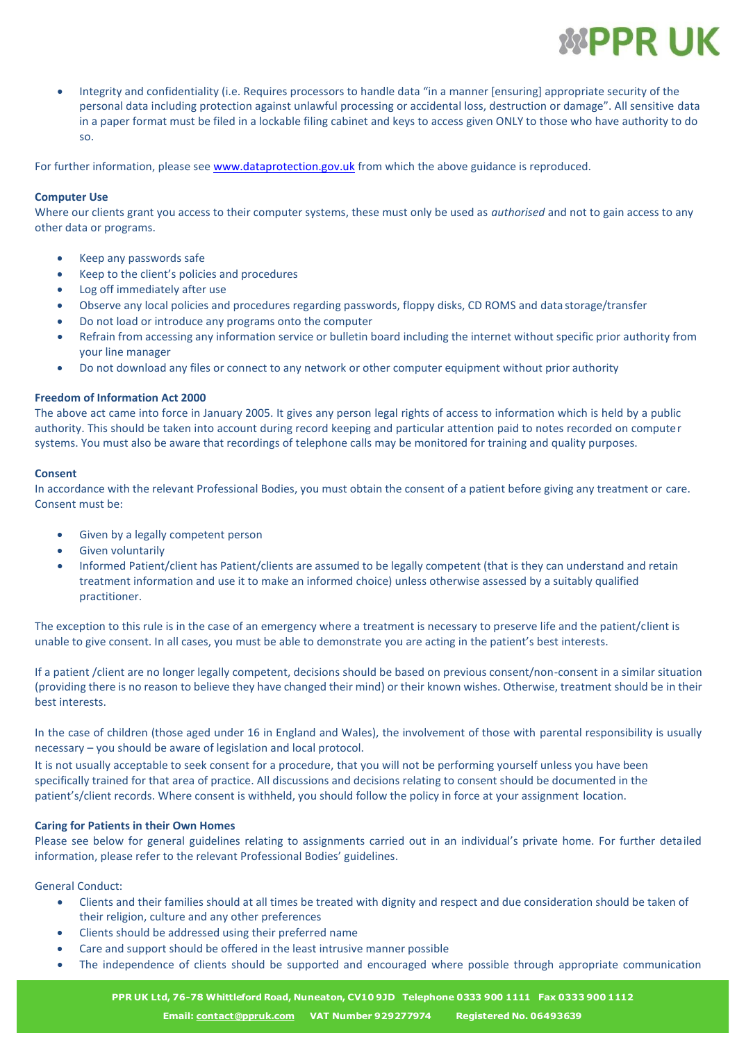

• Integrity and confidentiality (i.e. Requires processors to handle data "in a manner [ensuring] appropriate security of the personal data including protection against unlawful processing or accidental loss, destruction or damage". All sensitive data in a paper format must be filed in a lockable filing cabinet and keys to access given ONLY to those who have authority to do so.

For further information, please se[e www.dataprotection.gov.uk](https://www.gov.uk/government/publications/guide-to-the-general-data-protection-regulation) from which the above guidance is reproduced.

# **Computer Use**

Where our clients grant you access to their computer systems, these must only be used as *authorised* and not to gain access to any other data or programs.

- Keep any passwords safe
- Keep to the client's policies and procedures
- Log off immediately after use
- Observe any local policies and procedures regarding passwords, floppy disks, CD ROMS and data storage/transfer
- Do not load or introduce any programs onto the computer
- Refrain from accessing any information service or bulletin board including the internet without specific prior authority from your line manager
- Do not download any files or connect to any network or other computer equipment without prior authority

# **Freedom of Information Act 2000**

The above act came into force in January 2005. It gives any person legal rights of access to information which is held by a public authority. This should be taken into account during record keeping and particular attention paid to notes recorded on computer systems. You must also be aware that recordings of telephone calls may be monitored for training and quality purposes.

#### **Consent**

In accordance with the relevant Professional Bodies, you must obtain the consent of a patient before giving any treatment or care. Consent must be:

- Given by a legally competent person
- Given voluntarily
- Informed Patient/client has Patient/clients are assumed to be legally competent (that is they can understand and retain treatment information and use it to make an informed choice) unless otherwise assessed by a suitably qualified practitioner.

The exception to this rule is in the case of an emergency where a treatment is necessary to preserve life and the patient/client is unable to give consent. In all cases, you must be able to demonstrate you are acting in the patient's best interests.

If a patient /client are no longer legally competent, decisions should be based on previous consent/non-consent in a similar situation (providing there is no reason to believe they have changed their mind) or their known wishes. Otherwise, treatment should be in their best interests.

In the case of children (those aged under 16 in England and Wales), the involvement of those with parental responsibility is usually necessary – you should be aware of legislation and local protocol.

It is not usually acceptable to seek consent for a procedure, that you will not be performing yourself unless you have been specifically trained for that area of practice. All discussions and decisions relating to consent should be documented in the patient's/client records. Where consent is withheld, you should follow the policy in force at your assignment location.

#### **Caring for Patients in their Own Homes**

Please see below for general guidelines relating to assignments carried out in an individual's private home. For further detailed information, please refer to the relevant Professional Bodies' guidelines.

General Conduct:

- Clients and their families should at all times be treated with dignity and respect and due consideration should be taken of their religion, culture and any other preferences
- Clients should be addressed using their preferred name
- Care and support should be offered in the least intrusive manner possible
- The independence of clients should be supported and encouraged where possible through appropriate communication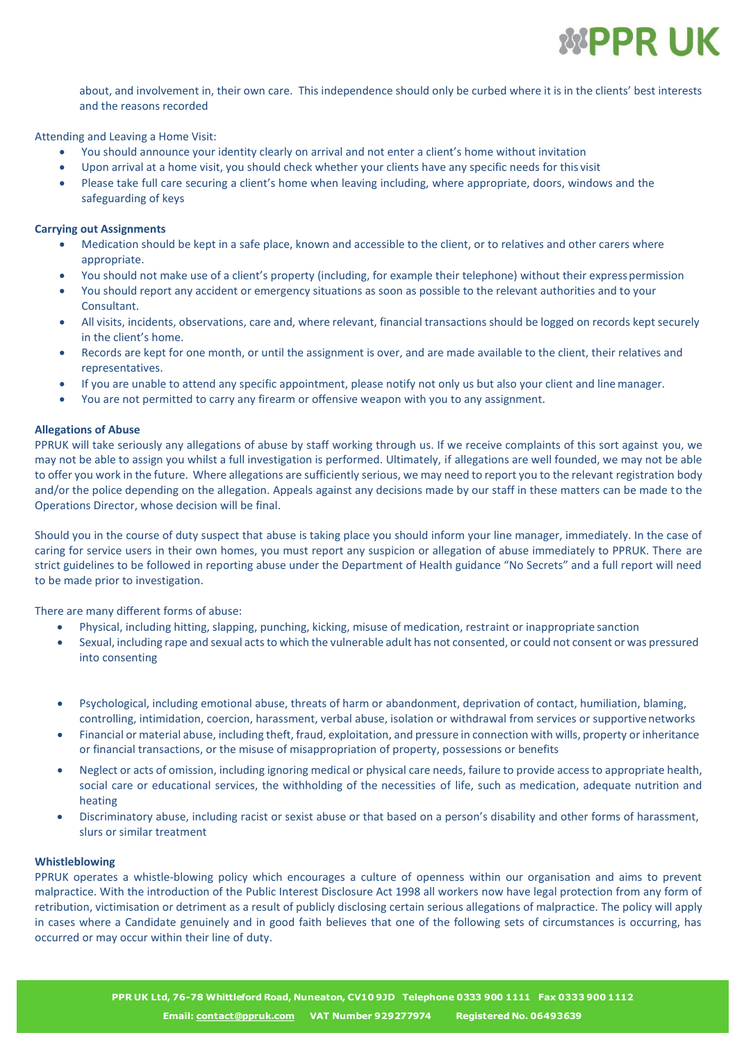

about, and involvement in, their own care. This independence should only be curbed where it is in the clients' best interests and the reasons recorded

Attending and Leaving a Home Visit:

- You should announce your identity clearly on arrival and not enter a client's home without invitation
- Upon arrival at a home visit, you should check whether your clients have any specific needs for this visit
- Please take full care securing a client's home when leaving including, where appropriate, doors, windows and the safeguarding of keys

# **Carrying out Assignments**

- Medication should be kept in a safe place, known and accessible to the client, or to relatives and other carers where appropriate.
- You should not make use of a client's property (including, for example their telephone) without their expresspermission
- You should report any accident or emergency situations as soon as possible to the relevant authorities and to your Consultant.
- All visits, incidents, observations, care and, where relevant, financial transactions should be logged on records kept securely in the client's home.
- Records are kept for one month, or until the assignment is over, and are made available to the client, their relatives and representatives.
- If you are unable to attend any specific appointment, please notify not only us but also your client and linemanager.
- You are not permitted to carry any firearm or offensive weapon with you to any assignment.

#### **Allegations of Abuse**

PPRUK will take seriously any allegations of abuse by staff working through us. If we receive complaints of this sort against you, we may not be able to assign you whilst a full investigation is performed. Ultimately, if allegations are well founded, we may not be able to offer you work in the future. Where allegations are sufficiently serious, we may need to report you to the relevant registration body and/or the police depending on the allegation. Appeals against any decisions made by our staff in these matters can be made to the Operations Director, whose decision will be final.

Should you in the course of duty suspect that abuse is taking place you should inform your line manager, immediately. In the case of caring for service users in their own homes, you must report any suspicion or allegation of abuse immediately to PPRUK. There are strict guidelines to be followed in reporting abuse under the Department of Health guidance "No Secrets" and a full report will need to be made prior to investigation.

There are many different forms of abuse:

- Physical, including hitting, slapping, punching, kicking, misuse of medication, restraint or inappropriate sanction
- Sexual, including rape and sexual actsto which the vulnerable adult has not consented, or could not consent or was pressured into consenting
- Psychological, including emotional abuse, threats of harm or abandonment, deprivation of contact, humiliation, blaming, controlling, intimidation, coercion, harassment, verbal abuse, isolation or withdrawal from services or supportivenetworks
- Financial or material abuse, including theft, fraud, exploitation, and pressure in connection with wills, property or inheritance or financial transactions, or the misuse of misappropriation of property, possessions or benefits
- Neglect or acts of omission, including ignoring medical or physical care needs, failure to provide access to appropriate health, social care or educational services, the withholding of the necessities of life, such as medication, adequate nutrition and heating
- Discriminatory abuse, including racist or sexist abuse or that based on a person's disability and other forms of harassment, slurs or similar treatment

#### **Whistleblowing**

PPRUK operates a whistle-blowing policy which encourages a culture of openness within our organisation and aims to prevent malpractice. With the introduction of the Public Interest Disclosure Act 1998 all workers now have legal protection from any form of retribution, victimisation or detriment as a result of publicly disclosing certain serious allegations of malpractice. The policy will apply in cases where a Candidate genuinely and in good faith believes that one of the following sets of circumstances is occurring, has occurred or may occur within their line of duty.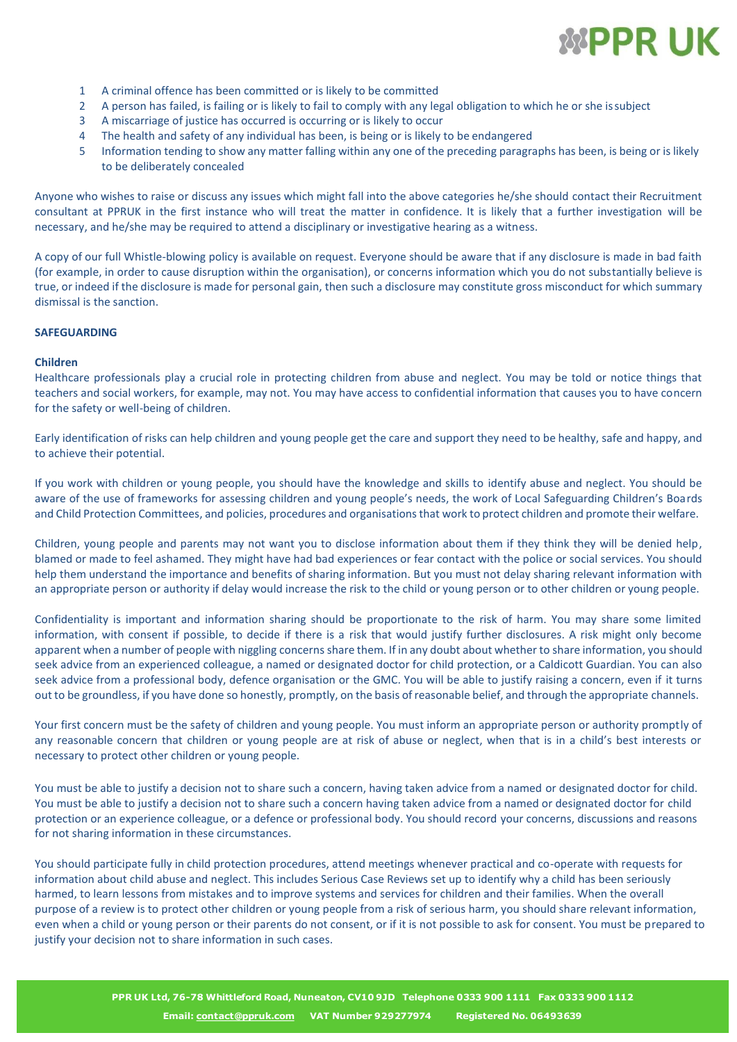

- 1 A criminal offence has been committed or is likely to be committed
- 2 A person has failed, is failing or is likely to fail to comply with any legal obligation to which he or she issubject
- 3 A miscarriage of justice has occurred is occurring or is likely to occur
- 4 The health and safety of any individual has been, is being or is likely to be endangered
- 5 Information tending to show any matter falling within any one of the preceding paragraphs has been, is being or is likely to be deliberately concealed

Anyone who wishes to raise or discuss any issues which might fall into the above categories he/she should contact their Recruitment consultant at PPRUK in the first instance who will treat the matter in confidence. It is likely that a further investigation will be necessary, and he/she may be required to attend a disciplinary or investigative hearing as a witness.

A copy of our full Whistle-blowing policy is available on request. Everyone should be aware that if any disclosure is made in bad faith (for example, in order to cause disruption within the organisation), or concerns information which you do not substantially believe is true, or indeed if the disclosure is made for personal gain, then such a disclosure may constitute gross misconduct for which summary dismissal is the sanction.

# **SAFEGUARDING**

#### **Children**

Healthcare professionals play a crucial role in protecting children from abuse and neglect. You may be told or notice things that teachers and social workers, for example, may not. You may have access to confidential information that causes you to have concern for the safety or well-being of children.

Early identification of risks can help children and young people get the care and support they need to be healthy, safe and happy, and to achieve their potential.

If you work with children or young people, you should have the knowledge and skills to identify abuse and neglect. You should be aware of the use of frameworks for assessing children and young people's needs, the work of Local Safeguarding Children's Boards and Child Protection Committees, and policies, procedures and organisationsthat work to protect children and promote their welfare.

Children, young people and parents may not want you to disclose information about them if they think they will be denied help, blamed or made to feel ashamed. They might have had bad experiences or fear contact with the police or social services. You should help them understand the importance and benefits of sharing information. But you must not delay sharing relevant information with an appropriate person or authority if delay would increase the risk to the child or young person or to other children or young people.

Confidentiality is important and information sharing should be proportionate to the risk of harm. You may share some limited information, with consent if possible, to decide if there is a risk that would justify further disclosures. A risk might only become apparent when a number of people with niggling concerns share them. If in any doubt about whether to share information, you should seek advice from an experienced colleague, a named or designated doctor for child protection, or a Caldicott Guardian. You can also seek advice from a professional body, defence organisation or the GMC. You will be able to justify raising a concern, even if it turns out to be groundless, if you have done so honestly, promptly, on the basis of reasonable belief, and through the appropriate channels.

Your first concern must be the safety of children and young people. You must inform an appropriate person or authority promptly of any reasonable concern that children or young people are at risk of abuse or neglect, when that is in a child's best interests or necessary to protect other children or young people.

You must be able to justify a decision not to share such a concern, having taken advice from a named or designated doctor for child. You must be able to justify a decision not to share such a concern having taken advice from a named or designated doctor for child protection or an experience colleague, or a defence or professional body. You should record your concerns, discussions and reasons for not sharing information in these circumstances.

You should participate fully in child protection procedures, attend meetings whenever practical and co-operate with requests for information about child abuse and neglect. This includes Serious Case Reviews set up to identify why a child has been seriously harmed, to learn lessons from mistakes and to improve systems and services for children and their families. When the overall purpose of a review is to protect other children or young people from a risk of serious harm, you should share relevant information, even when a child or young person or their parents do not consent, or if it is not possible to ask for consent. You must be prepared to justify your decision not to share information in such cases.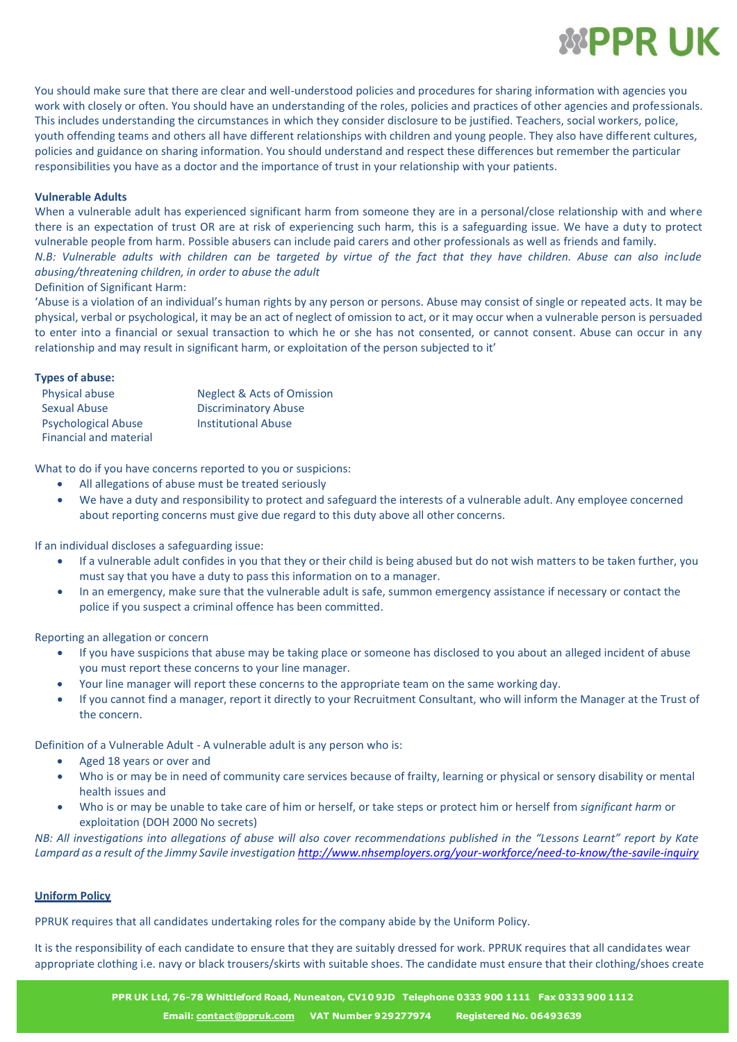

You should make sure that there are clear and well-understood policies and procedures for sharing information with agencies you work with closely or often. You should have an understanding of the roles, policies and practices of other agencies and professionals. This includes understanding the circumstances in which they consider disclosure to be justified. Teachers, social workers, police, youth offending teams and others all have different relationships with children and young people. They also have different cultures, policies and guidance on sharing information. You should understand and respect these differences but remember the particular responsibilities you have as a doctor and the importance of trust in your relationship with your patients.

# **Vulnerable Adults**

When a vulnerable adult has experienced significant harm from someone they are in a personal/close relationship with and where there is an expectation of trust OR are at risk of experiencing such harm, this is a safeguarding issue. We have a duty to protect vulnerable people from harm. Possible abusers can include paid carers and other professionals as well as friends and family. *N.B: Vulnerable adults with children can be targeted by virtue of the fact that they have children. Abuse can also include abusing/threatening children, in order to abuse the adult*

Definition of Significant Harm:

'Abuse is a violation of an individual's human rights by any person or persons. Abuse may consist of single or repeated acts. It may be physical, verbal or psychological, it may be an act of neglect of omission to act, or it may occur when a vulnerable person is persuaded to enter into a financial or sexual transaction to which he or she has not consented, or cannot consent. Abuse can occur in any relationship and may result in significant harm, or exploitation of the person subjected to it'

# **Types of abuse:**

| <b>Physical abuse</b>                                       | <b>Neglect &amp; Acts of Omission</b> |
|-------------------------------------------------------------|---------------------------------------|
| Sexual Abuse                                                | <b>Discriminatory Abuse</b>           |
| <b>Psychological Abuse</b><br><b>Financial and material</b> | <b>Institutional Abuse</b>            |

What to do if you have concerns reported to you or suspicions:

- All allegations of abuse must be treated seriously
- We have a duty and responsibility to protect and safeguard the interests of a vulnerable adult. Any employee concerned about reporting concerns must give due regard to this duty above all other concerns.

If an individual discloses a safeguarding issue:

- If a vulnerable adult confides in you that they or their child is being abused but do not wish matters to be taken further, you must say that you have a duty to pass this information on to a manager.
- In an emergency, make sure that the vulnerable adult is safe, summon emergency assistance if necessary or contact the police if you suspect a criminal offence has been committed.

Reporting an allegation or concern

- If you have suspicions that abuse may be taking place or someone has disclosed to you about an alleged incident of abuse you must report these concerns to your line manager.
- Your line manager will report these concerns to the appropriate team on the same working day.
- If you cannot find a manager, report it directly to your Recruitment Consultant, who will inform the Manager at the Trust of the concern.

Definition of a Vulnerable Adult - A vulnerable adult is any person who is:

- Aged 18 years or over and
- Who is or may be in need of community care services because of frailty, learning or physical or sensory disability or mental health issues and
- Who is or may be unable to take care of him or herself, or take steps or protect him or herself from *significant harm* or exploitation (DOH 2000 No secrets)

NB: All investigations into allegations of abuse will also cover recommendations published in the "Lessons Learnt" report by Kate *Lampard as a result of the Jimmy Savile investigation <http://www.nhsemployers.org/your-workforce/need-to-know/the-savile-inquiry>*

#### **Uniform Policy**

PPRUK requires that all candidates undertaking roles for the company abide by the Uniform Policy.

It is the responsibility of each candidate to ensure that they are suitably dressed for work. PPRUK requires that all candidates wear appropriate clothing i.e. navy or black trousers/skirts with suitable shoes. The candidate must ensure that their clothing/shoes create